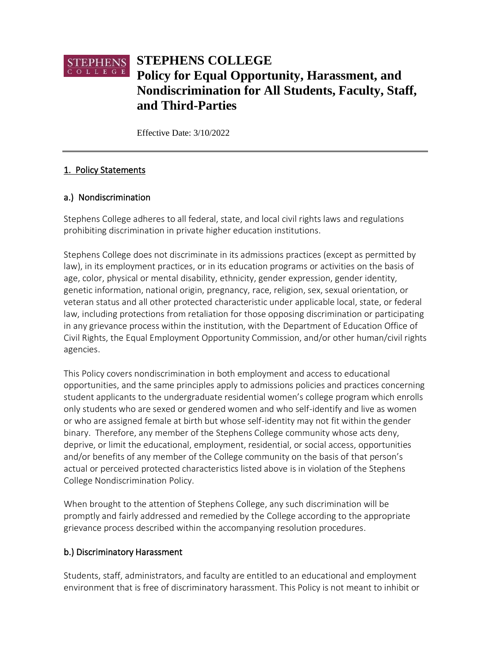

Effective Date: 3/10/2022

# 1. Policy Statements

### a.) Nondiscrimination

Stephens College adheres to all federal, state, and local civil rights laws and regulations prohibiting discrimination in private higher education institutions.

Stephens College does not discriminate in its admissions practices (except as permitted by law), in its employment practices, or in its education programs or activities on the basis of age, color, physical or mental disability, ethnicity, gender expression, gender identity, genetic information, national origin, pregnancy, race, religion, sex, sexual orientation, or veteran status and all other protected characteristic under applicable local, state, or federal law, including protections from retaliation for those opposing discrimination or participating in any grievance process within the institution, with the Department of Education Office of Civil Rights, the Equal Employment Opportunity Commission, and/or other human/civil rights agencies.

This Policy covers nondiscrimination in both employment and access to educational opportunities, and the same principles apply to admissions policies and practices concerning student applicants to the undergraduate residential women's college program which enrolls only students who are sexed or gendered women and who self-identify and live as women or who are assigned female at birth but whose self-identity may not fit within the gender binary. Therefore, any member of the Stephens College community whose acts deny, deprive, or limit the educational, employment, residential, or social access, opportunities and/or benefits of any member of the College community on the basis of that person's actual or perceived protected characteristics listed above is in violation of the Stephens College Nondiscrimination Policy.

When brought to the attention of Stephens College, any such discrimination will be promptly and fairly addressed and remedied by the College according to the appropriate grievance process described within the accompanying resolution procedures.

### b.) Discriminatory Harassment

Students, staff, administrators, and faculty are entitled to an educational and employment environment that is free of discriminatory harassment. This Policy is not meant to inhibit or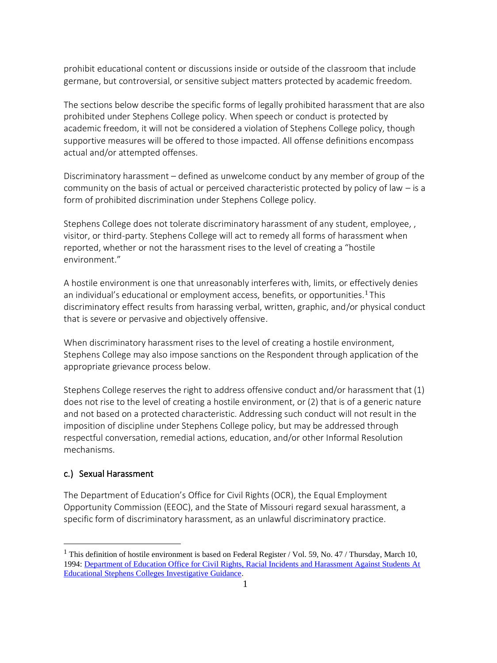prohibit educational content or discussions inside or outside of the classroom that include germane, but controversial, or sensitive subject matters protected by academic freedom.

The sections below describe the specific forms of legally prohibited harassment that are also prohibited under Stephens College policy. When speech or conduct is protected by academic freedom, it will not be considered a violation of Stephens College policy, though supportive measures will be offered to those impacted. All offense definitions encompass actual and/or attempted offenses.

Discriminatory harassment – defined as unwelcome conduct by any member of group of the community on the basis of actual or perceived characteristic protected by policy of law – is a form of prohibited discrimination under Stephens College policy.

Stephens College does not tolerate discriminatory harassment of any student, employee, , visitor, or third-party. Stephens College will act to remedy all forms of harassment when reported, whether or not the harassment rises to the level of creating a "hostile environment."

A hostile environment is one that unreasonably interferes with, limits, or effectively denies an individual's educational or employment access, benefits, or opportunities.<sup>1</sup> This discriminatory effect results from harassing verbal, written, graphic, and/or physical conduct that is severe or pervasive and objectively offensive.

When discriminatory harassment rises to the level of creating a hostile environment, Stephens College may also impose sanctions on the Respondent through application of the appropriate grievance process below.

Stephens College reserves the right to address offensive conduct and/or harassment that (1) does not rise to the level of creating a hostile environment, or (2) that is of a generic nature and not based on a protected characteristic. Addressing such conduct will not result in the imposition of discipline under Stephens College policy, but may be addressed through respectful conversation, remedial actions, education, and/or other Informal Resolution mechanisms.

### c.) Sexual Harassment

The Department of Education's Office for Civil Rights (OCR), the Equal Employment Opportunity Commission (EEOC), and the State of Missouri regard sexual harassment, a specific form of discriminatory harassment, as an unlawful discriminatory practice.

<sup>&</sup>lt;sup>1</sup> This definition of hostile environment is based on Federal Register / Vol. 59, No. 47 / Thursday, March 10, 1994: Department of Education Office for Civil Rights, Racial Incidents and Harassment Against Students At [Educational Stephens Colleges Investigative Guidance.](http://www.ed.gov/about/offices/list/ocr/docs/race394.html.)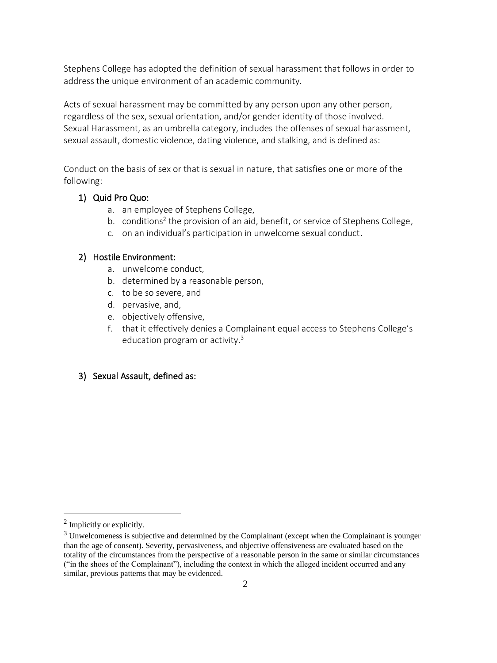Stephens College has adopted the definition of sexual harassment that follows in order to address the unique environment of an academic community.

Acts of sexual harassment may be committed by any person upon any other person, regardless of the sex, sexual orientation, and/or gender identity of those involved. Sexual Harassment, as an umbrella category, includes the offenses of sexual harassment, sexual assault, domestic violence, dating violence, and stalking, and is defined as:

Conduct on the basis of sex or that is sexual in nature, that satisfies one or more of the following:

### 1) Quid Pro Quo:

- a. an employee of Stephens College,
- b. conditions<sup>2</sup> the provision of an aid, benefit, or service of Stephens College,
- c. on an individual's participation in unwelcome sexual conduct.

### 2) Hostile Environment:

- a. unwelcome conduct,
- b. determined by a reasonable person,
- c. to be so severe, and
- d. pervasive, and,
- e. objectively offensive,
- f. that it effectively denies a Complainant equal access to Stephens College's education program or activity.<sup>3</sup>

### 3) Sexual Assault, defined as:

<sup>&</sup>lt;sup>2</sup> Implicitly or explicitly.

<sup>&</sup>lt;sup>3</sup> Unwelcomeness is subjective and determined by the Complainant (except when the Complainant is younger than the age of consent). Severity, pervasiveness, and objective offensiveness are evaluated based on the totality of the circumstances from the perspective of a reasonable person in the same or similar circumstances ("in the shoes of the Complainant"), including the context in which the alleged incident occurred and any similar, previous patterns that may be evidenced.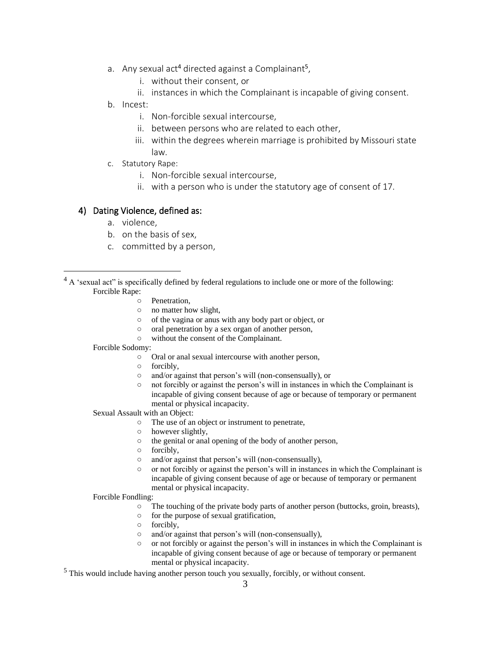- a. Any sexual act<sup>4</sup> directed against a Complainant<sup>5</sup>,
	- i. without their consent, or
	- ii. instances in which the Complainant is incapable of giving consent.
- b. Incest:
	- i. Non-forcible sexual intercourse,
	- ii. between persons who are related to each other,
	- iii. within the degrees wherein marriage is prohibited by Missouri state law.
- c. Statutory Rape:
	- i. Non-forcible sexual intercourse,
	- ii. with a person who is under the statutory age of consent of 17.

#### 4) Dating Violence, defined as:

- a. violence,
- b. on the basis of sex,
- c. committed by a person,

- Penetration,
- o no matter how slight.
- of the vagina or anus with any body part or object, or
- oral penetration by a sex organ of another person,
- without the consent of the Complainant.
- Forcible Sodomy:
	- Oral or anal sexual intercourse with another person,
	- forcibly,
	- and/or against that person's will (non-consensually), or
	- not forcibly or against the person's will in instances in which the Complainant is incapable of giving consent because of age or because of temporary or permanent mental or physical incapacity.
- Sexual Assault with an Object:
	- The use of an object or instrument to penetrate,
	- however slightly,
	- the genital or anal opening of the body of another person,
	- forcibly,
	- and/or against that person's will (non-consensually),
	- $\circ$  or not forcibly or against the person's will in instances in which the Complainant is incapable of giving consent because of age or because of temporary or permanent mental or physical incapacity.

#### Forcible Fondling:

- The touching of the private body parts of another person (buttocks, groin, breasts),
- for the purpose of sexual gratification,
- forcibly,
- and/or against that person's will (non-consensually),
- or not forcibly or against the person's will in instances in which the Complainant is incapable of giving consent because of age or because of temporary or permanent mental or physical incapacity.

<sup>5</sup> This would include having another person touch you sexually, forcibly, or without consent.

 $4 \text{ A}$  'sexual act'' is specifically defined by federal regulations to include one or more of the following: Forcible Rape: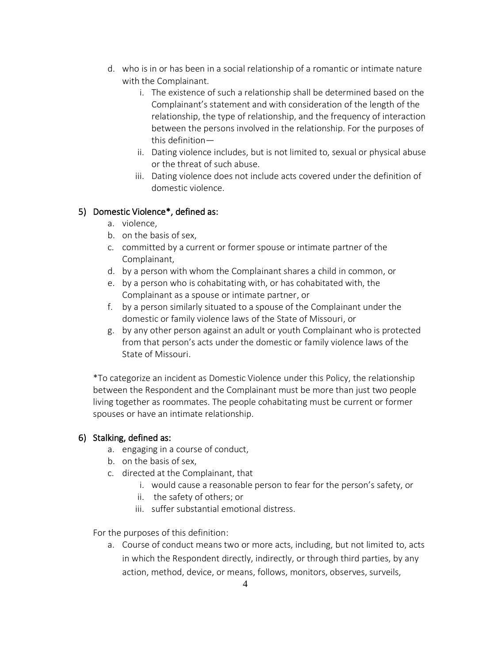- d. who is in or has been in a social relationship of a romantic or intimate nature with the Complainant.
	- i. The existence of such a relationship shall be determined based on the Complainant's statement and with consideration of the length of the relationship, the type of relationship, and the frequency of interaction between the persons involved in the relationship. For the purposes of this definition—
	- ii. Dating violence includes, but is not limited to, sexual or physical abuse or the threat of such abuse.
	- iii. Dating violence does not include acts covered under the definition of domestic violence.

## 5) Domestic Violence\*, defined as:

- a. violence,
- b. on the basis of sex,
- c. committed by a current or former spouse or intimate partner of the Complainant,
- d. by a person with whom the Complainant shares a child in common, or
- e. by a person who is cohabitating with, or has cohabitated with, the Complainant as a spouse or intimate partner, or
- f. by a person similarly situated to a spouse of the Complainant under the domestic or family violence laws of the State of Missouri, or
- g. by any other person against an adult or youth Complainant who is protected from that person's acts under the domestic or family violence laws of the State of Missouri.

\*To categorize an incident as Domestic Violence under this Policy, the relationship between the Respondent and the Complainant must be more than just two people living together as roommates. The people cohabitating must be current or former spouses or have an intimate relationship.

# 6) Stalking, defined as:

- a. engaging in a course of conduct,
- b. on the basis of sex,
- c. directed at the Complainant, that
	- i. would cause a reasonable person to fear for the person's safety, or
	- ii. the safety of others; or
	- iii. suffer substantial emotional distress.

For the purposes of this definition:

a. Course of conduct means two or more acts, including, but not limited to, acts in which the Respondent directly, indirectly, or through third parties, by any action, method, device, or means, follows, monitors, observes, surveils,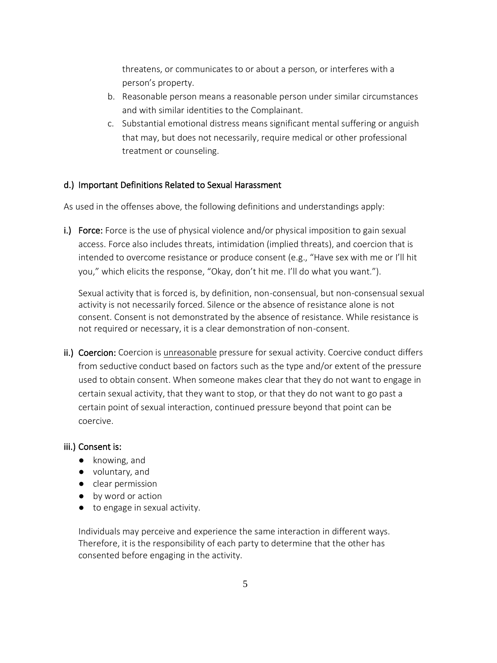threatens, or communicates to or about a person, or interferes with a person's property.

- b. Reasonable person means a reasonable person under similar circumstances and with similar identities to the Complainant.
- c. Substantial emotional distress means significant mental suffering or anguish that may, but does not necessarily, require medical or other professional treatment or counseling.

### d.) Important Definitions Related to Sexual Harassment

As used in the offenses above, the following definitions and understandings apply:

i.) Force: Force is the use of physical violence and/or physical imposition to gain sexual access. Force also includes threats, intimidation (implied threats), and coercion that is intended to overcome resistance or produce consent (e.g., "Have sex with me or I'll hit you," which elicits the response, "Okay, don't hit me. I'll do what you want.").

Sexual activity that is forced is, by definition, non-consensual, but non-consensual sexual activity is not necessarily forced. Silence or the absence of resistance alone is not consent. Consent is not demonstrated by the absence of resistance. While resistance is not required or necessary, it is a clear demonstration of non-consent.

ii.) Coercion: Coercion is unreasonable pressure for sexual activity. Coercive conduct differs from seductive conduct based on factors such as the type and/or extent of the pressure used to obtain consent. When someone makes clear that they do not want to engage in certain sexual activity, that they want to stop, or that they do not want to go past a certain point of sexual interaction, continued pressure beyond that point can be coercive.

#### iii.) Consent is:

- knowing, and
- voluntary, and
- clear permission
- by word or action
- to engage in sexual activity.

Individuals may perceive and experience the same interaction in different ways. Therefore, it is the responsibility of each party to determine that the other has consented before engaging in the activity.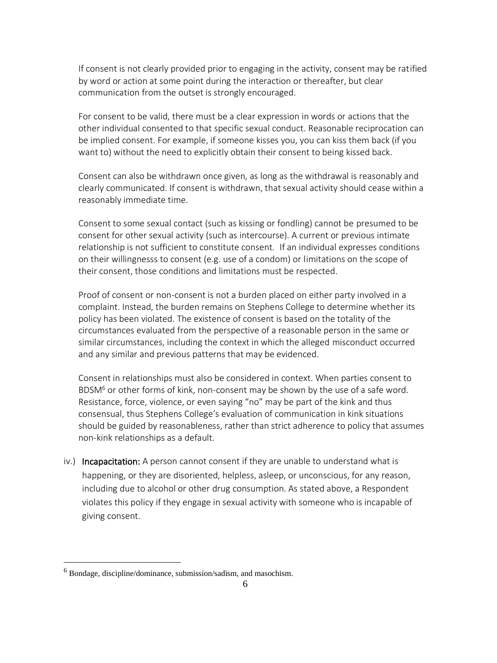If consent is not clearly provided prior to engaging in the activity, consent may be ratified by word or action at some point during the interaction or thereafter, but clear communication from the outset is strongly encouraged.

For consent to be valid, there must be a clear expression in words or actions that the other individual consented to that specific sexual conduct. Reasonable reciprocation can be implied consent. For example, if someone kisses you, you can kiss them back (if you want to) without the need to explicitly obtain their consent to being kissed back.

Consent can also be withdrawn once given, as long as the withdrawal is reasonably and clearly communicated. If consent is withdrawn, that sexual activity should cease within a reasonably immediate time.

Consent to some sexual contact (such as kissing or fondling) cannot be presumed to be consent for other sexual activity (such as intercourse). A current or previous intimate relationship is not sufficient to constitute consent. If an individual expresses conditions on their willingnesss to consent (e.g. use of a condom) or limitations on the scope of their consent, those conditions and limitations must be respected.

Proof of consent or non-consent is not a burden placed on either party involved in a complaint. Instead, the burden remains on Stephens College to determine whether its policy has been violated. The existence of consent is based on the totality of the circumstances evaluated from the perspective of a reasonable person in the same or similar circumstances, including the context in which the alleged misconduct occurred and any similar and previous patterns that may be evidenced.

Consent in relationships must also be considered in context. When parties consent to BDSM<sup>6</sup> or other forms of kink, non-consent may be shown by the use of a safe word. Resistance, force, violence, or even saying "no" may be part of the kink and thus consensual, thus Stephens College's evaluation of communication in kink situations should be guided by reasonableness, rather than strict adherence to policy that assumes non-kink relationships as a default.

iv.) Incapacitation: A person cannot consent if they are unable to understand what is happening, or they are disoriented, helpless, asleep, or unconscious, for any reason, including due to alcohol or other drug consumption. As stated above, a Respondent violates this policy if they engage in sexual activity with someone who is incapable of giving consent.

<sup>6</sup> Bondage, discipline/dominance, submission/sadism, and masochism.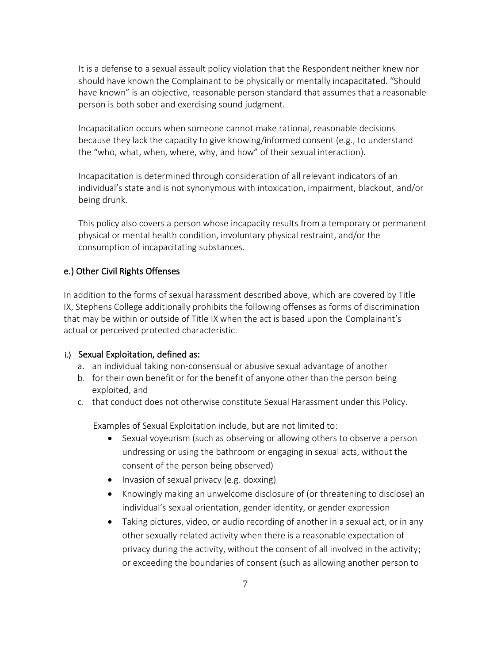It is a defense to a sexual assault policy violation that the Respondent neither knew nor should have known the Complainant to be physically or mentally incapacitated. "Should have known" is an objective, reasonable person standard that assumes that a reasonable person is both sober and exercising sound judgment.

Incapacitation occurs when someone cannot make rational, reasonable decisions because they lack the capacity to give knowing/informed consent (e.g., to understand the "who, what, when, where, why, and how" of their sexual interaction).

Incapacitation is determined through consideration of all relevant indicators of an individual's state and is not synonymous with intoxication, impairment, blackout, and/or being drunk.

This policy also covers a person whose incapacity results from a temporary or permanent physical or mental health condition, involuntary physical restraint, and/or the consumption of incapacitating substances.

### e.) Other Civil Rights Offenses

In addition to the forms of sexual harassment described above, which are covered by Title IX, Stephens College additionally prohibits the following offenses as forms of discrimination that may be within or outside of Title IX when the act is based upon the Complainant's actual or perceived protected characteristic.

#### i.) Sexual Exploitation, defined as:

- a. an individual taking non-consensual or abusive sexual advantage of another
- b. for their own benefit or for the benefit of anyone other than the person being exploited, and
- c. that conduct does not otherwise constitute Sexual Harassment under this Policy.

Examples of Sexual Exploitation include, but are not limited to:

- Sexual voyeurism (such as observing or allowing others to observe a person undressing or using the bathroom or engaging in sexual acts, without the consent of the person being observed)
- Invasion of sexual privacy (e.g. doxxing)
- Knowingly making an unwelcome disclosure of (or threatening to disclose) an individual's sexual orientation, gender identity, or gender expression
- Taking pictures, video, or audio recording of another in a sexual act, or in any other sexually-related activity when there is a reasonable expectation of privacy during the activity, without the consent of all involved in the activity; or exceeding the boundaries of consent (such as allowing another person to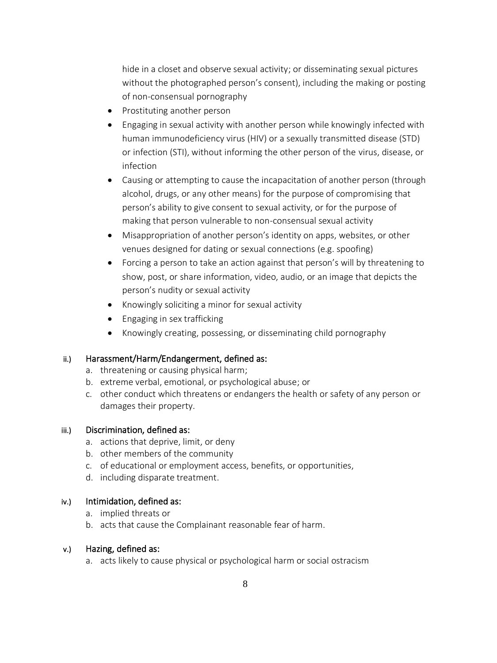hide in a closet and observe sexual activity; or disseminating sexual pictures without the photographed person's consent), including the making or posting of non-consensual pornography

- Prostituting another person
- Engaging in sexual activity with another person while knowingly infected with human immunodeficiency virus (HIV) or a sexually transmitted disease (STD) or infection (STI), without informing the other person of the virus, disease, or infection
- Causing or attempting to cause the incapacitation of another person (through alcohol, drugs, or any other means) for the purpose of compromising that person's ability to give consent to sexual activity, or for the purpose of making that person vulnerable to non-consensual sexual activity
- Misappropriation of another person's identity on apps, websites, or other venues designed for dating or sexual connections (e.g. spoofing)
- Forcing a person to take an action against that person's will by threatening to show, post, or share information, video, audio, or an image that depicts the person's nudity or sexual activity
- Knowingly soliciting a minor for sexual activity
- Engaging in sex trafficking
- Knowingly creating, possessing, or disseminating child pornography

#### ii.) Harassment/Harm/Endangerment, defined as:

- a. threatening or causing physical harm;
- b. extreme verbal, emotional, or psychological abuse; or
- c. other conduct which threatens or endangers the health or safety of any person or damages their property.

#### iii.) Discrimination, defined as:

- a. actions that deprive, limit, or deny
- b. other members of the community
- c. of educational or employment access, benefits, or opportunities,
- d. including disparate treatment.

#### iv.) Intimidation, defined as:

- a. implied threats or
- b. acts that cause the Complainant reasonable fear of harm.

#### v.) Hazing, defined as:

a. acts likely to cause physical or psychological harm or social ostracism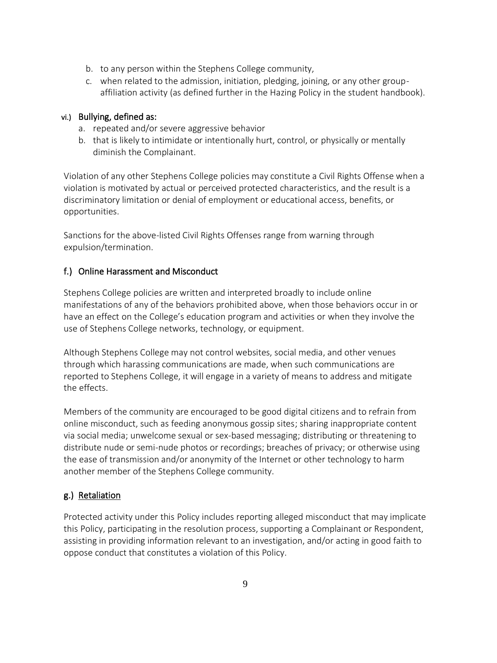- b. to any person within the Stephens College community,
- c. when related to the admission, initiation, pledging, joining, or any other groupaffiliation activity (as defined further in the Hazing Policy in the student handbook).

### vi.) Bullying, defined as:

- a. repeated and/or severe aggressive behavior
- b. that is likely to intimidate or intentionally hurt, control, or physically or mentally diminish the Complainant.

Violation of any other Stephens College policies may constitute a Civil Rights Offense when a violation is motivated by actual or perceived protected characteristics, and the result is a discriminatory limitation or denial of employment or educational access, benefits, or opportunities.

Sanctions for the above-listed Civil Rights Offenses range from warning through expulsion/termination.

## f.) Online Harassment and Misconduct

Stephens College policies are written and interpreted broadly to include online manifestations of any of the behaviors prohibited above, when those behaviors occur in or have an effect on the College's education program and activities or when they involve the use of Stephens College networks, technology, or equipment.

Although Stephens College may not control websites, social media, and other venues through which harassing communications are made, when such communications are reported to Stephens College, it will engage in a variety of means to address and mitigate the effects.

Members of the community are encouraged to be good digital citizens and to refrain from online misconduct, such as feeding anonymous gossip sites; sharing inappropriate content via social media; unwelcome sexual or sex-based messaging; distributing or threatening to distribute nude or semi-nude photos or recordings; breaches of privacy; or otherwise using the ease of transmission and/or anonymity of the Internet or other technology to harm another member of the Stephens College community.

# g.) Retaliation

Protected activity under this Policy includes reporting alleged misconduct that may implicate this Policy, participating in the resolution process, supporting a Complainant or Respondent, assisting in providing information relevant to an investigation, and/or acting in good faith to oppose conduct that constitutes a violation of this Policy.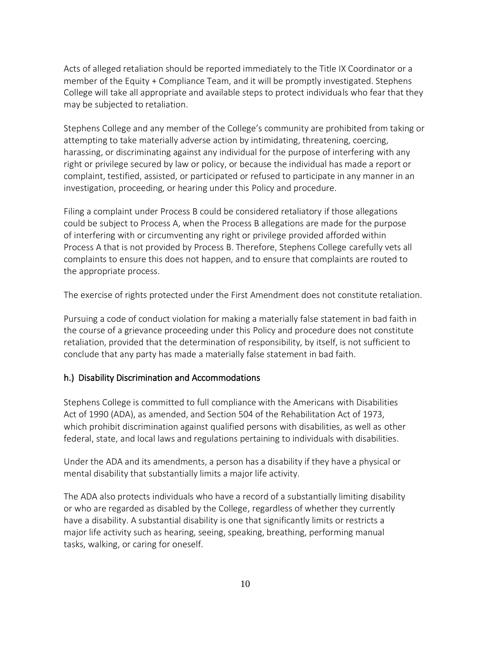Acts of alleged retaliation should be reported immediately to the Title IX Coordinator or a member of the Equity + Compliance Team, and it will be promptly investigated. Stephens College will take all appropriate and available steps to protect individuals who fear that they may be subjected to retaliation.

Stephens College and any member of the College's community are prohibited from taking or attempting to take materially adverse action by intimidating, threatening, coercing, harassing, or discriminating against any individual for the purpose of interfering with any right or privilege secured by law or policy, or because the individual has made a report or complaint, testified, assisted, or participated or refused to participate in any manner in an investigation, proceeding, or hearing under this Policy and procedure.

Filing a complaint under Process B could be considered retaliatory if those allegations could be subject to Process A, when the Process B allegations are made for the purpose of interfering with or circumventing any right or privilege provided afforded within Process A that is not provided by Process B. Therefore, Stephens College carefully vets all complaints to ensure this does not happen, and to ensure that complaints are routed to the appropriate process.

The exercise of rights protected under the First Amendment does not constitute retaliation.

Pursuing a code of conduct violation for making a materially false statement in bad faith in the course of a grievance proceeding under this Policy and procedure does not constitute retaliation, provided that the determination of responsibility, by itself, is not sufficient to conclude that any party has made a materially false statement in bad faith.

#### h.) Disability Discrimination and Accommodations

Stephens College is committed to full compliance with the Americans with Disabilities Act of 1990 (ADA), as amended, and Section 504 of the Rehabilitation Act of 1973, which prohibit discrimination against qualified persons with disabilities, as well as other federal, state, and local laws and regulations pertaining to individuals with disabilities.

Under the ADA and its amendments, a person has a disability if they have a physical or mental disability that substantially limits a major life activity.

The ADA also protects individuals who have a record of a substantially limiting disability or who are regarded as disabled by the College, regardless of whether they currently have a disability. A substantial disability is one that significantly limits or restricts a major life activity such as hearing, seeing, speaking, breathing, performing manual tasks, walking, or caring for oneself.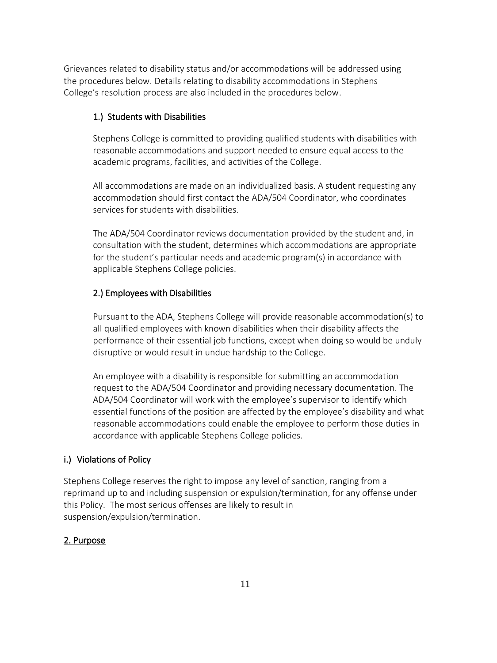Grievances related to disability status and/or accommodations will be addressed using the procedures below. Details relating to disability accommodations in Stephens College's resolution process are also included in the procedures below.

### 1.) Students with Disabilities

Stephens College is committed to providing qualified students with disabilities with reasonable accommodations and support needed to ensure equal access to the academic programs, facilities, and activities of the College.

All accommodations are made on an individualized basis. A student requesting any accommodation should first contact the ADA/504 Coordinator, who coordinates services for students with disabilities.

The ADA/504 Coordinator reviews documentation provided by the student and, in consultation with the student, determines which accommodations are appropriate for the student's particular needs and academic program(s) in accordance with applicable Stephens College policies.

## 2.) Employees with Disabilities

Pursuant to the ADA, Stephens College will provide reasonable accommodation(s) to all qualified employees with known disabilities when their disability affects the performance of their essential job functions, except when doing so would be unduly disruptive or would result in undue hardship to the College.

An employee with a disability is responsible for submitting an accommodation request to the ADA/504 Coordinator and providing necessary documentation. The ADA/504 Coordinator will work with the employee's supervisor to identify which essential functions of the position are affected by the employee's disability and what reasonable accommodations could enable the employee to perform those duties in accordance with applicable Stephens College policies.

### i.) Violations of Policy

Stephens College reserves the right to impose any level of sanction, ranging from a reprimand up to and including suspension or expulsion/termination, for any offense under this Policy. The most serious offenses are likely to result in suspension/expulsion/termination.

# 2. Purpose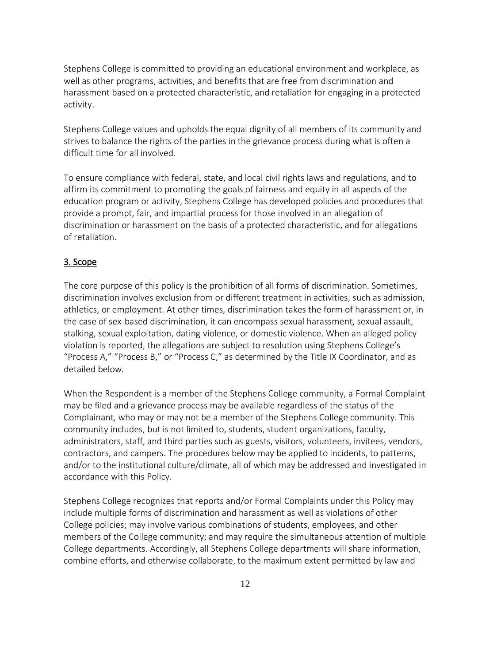Stephens College is committed to providing an educational environment and workplace, as well as other programs, activities, and benefits that are free from discrimination and harassment based on a protected characteristic, and retaliation for engaging in a protected activity.

Stephens College values and upholds the equal dignity of all members of its community and strives to balance the rights of the parties in the grievance process during what is often a difficult time for all involved.

To ensure compliance with federal, state, and local civil rights laws and regulations, and to affirm its commitment to promoting the goals of fairness and equity in all aspects of the education program or activity, Stephens College has developed policies and procedures that provide a prompt, fair, and impartial process for those involved in an allegation of discrimination or harassment on the basis of a protected characteristic, and for allegations of retaliation.

### 3. Scope

The core purpose of this policy is the prohibition of all forms of discrimination. Sometimes, discrimination involves exclusion from or different treatment in activities, such as admission, athletics, or employment. At other times, discrimination takes the form of harassment or, in the case of sex-based discrimination, it can encompass sexual harassment, sexual assault, stalking, sexual exploitation, dating violence, or domestic violence. When an alleged policy violation is reported, the allegations are subject to resolution using Stephens College's "Process A," "Process B," or "Process C," as determined by the Title IX Coordinator, and as detailed below.

When the Respondent is a member of the Stephens College community, a Formal Complaint may be filed and a grievance process may be available regardless of the status of the Complainant, who may or may not be a member of the Stephens College community. This community includes, but is not limited to, students, student organizations, faculty, administrators, staff, and third parties such as guests, visitors, volunteers, invitees, vendors, contractors, and campers. The procedures below may be applied to incidents, to patterns, and/or to the institutional culture/climate, all of which may be addressed and investigated in accordance with this Policy.

Stephens College recognizes that reports and/or Formal Complaints under this Policy may include multiple forms of discrimination and harassment as well as violations of other College policies; may involve various combinations of students, employees, and other members of the College community; and may require the simultaneous attention of multiple College departments. Accordingly, all Stephens College departments will share information, combine efforts, and otherwise collaborate, to the maximum extent permitted by law and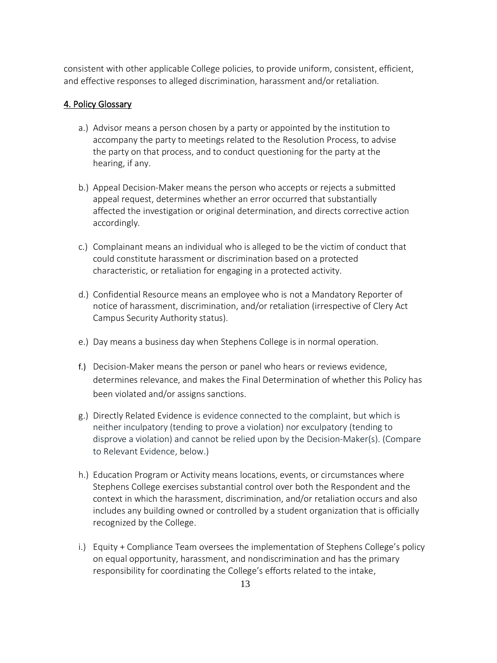consistent with other applicable College policies, to provide uniform, consistent, efficient, and effective responses to alleged discrimination, harassment and/or retaliation.

### 4. Policy Glossary

- a.) Advisor means a person chosen by a party or appointed by the institution to accompany the party to meetings related to the Resolution Process, to advise the party on that process, and to conduct questioning for the party at the hearing, if any.
- b.) Appeal Decision-Maker means the person who accepts or rejects a submitted appeal request, determines whether an error occurred that substantially affected the investigation or original determination, and directs corrective action accordingly.
- c.) Complainant means an individual who is alleged to be the victim of conduct that could constitute harassment or discrimination based on a protected characteristic, or retaliation for engaging in a protected activity.
- d.) Confidential Resource means an employee who is not a Mandatory Reporter of notice of harassment, discrimination, and/or retaliation (irrespective of Clery Act Campus Security Authority status).
- e.) Day means a business day when Stephens College is in normal operation.
- f.) Decision-Maker means the person or panel who hears or reviews evidence, determines relevance, and makes the Final Determination of whether this Policy has been violated and/or assigns sanctions.
- g.) Directly Related Evidence is evidence connected to the complaint, but which is neither inculpatory (tending to prove a violation) nor exculpatory (tending to disprove a violation) and cannot be relied upon by the Decision-Maker(s). (Compare to Relevant Evidence, below.)
- h.) Education Program or Activity means locations, events, or circumstances where Stephens College exercises substantial control over both the Respondent and the context in which the harassment, discrimination, and/or retaliation occurs and also includes any building owned or controlled by a student organization that is officially recognized by the College.
- i.) Equity + Compliance Team oversees the implementation of Stephens College's policy on equal opportunity, harassment, and nondiscrimination and has the primary responsibility for coordinating the College's efforts related to the intake,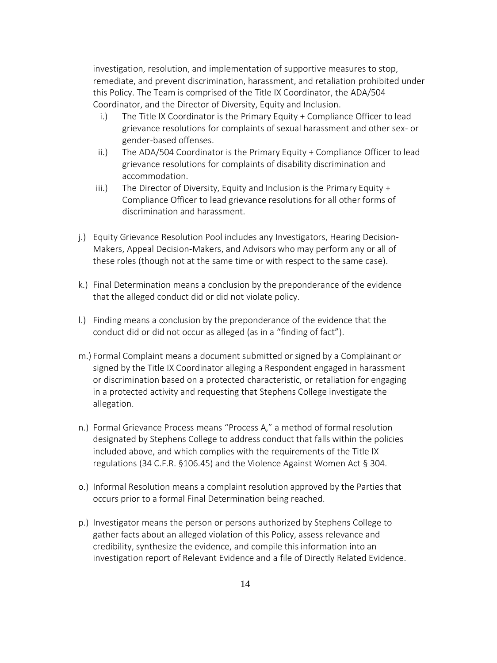investigation, resolution, and implementation of supportive measures to stop, remediate, and prevent discrimination, harassment, and retaliation prohibited under this Policy. The Team is comprised of the Title IX Coordinator, the ADA/504 Coordinator, and the Director of Diversity, Equity and Inclusion.

- i.) The Title IX Coordinator is the Primary Equity + Compliance Officer to lead grievance resolutions for complaints of sexual harassment and other sex- or gender-based offenses.
- ii.) The ADA/504 Coordinator is the Primary Equity + Compliance Officer to lead grievance resolutions for complaints of disability discrimination and accommodation.
- iii.) The Director of Diversity, Equity and Inclusion is the Primary Equity  $+$ Compliance Officer to lead grievance resolutions for all other forms of discrimination and harassment.
- j.) Equity Grievance Resolution Pool includes any Investigators, Hearing Decision-Makers, Appeal Decision-Makers, and Advisors who may perform any or all of these roles (though not at the same time or with respect to the same case).
- k.) Final Determination means a conclusion by the preponderance of the evidence that the alleged conduct did or did not violate policy.
- l.) Finding means a conclusion by the preponderance of the evidence that the conduct did or did not occur as alleged (as in a "finding of fact").
- m.) Formal Complaint means a document submitted or signed by a Complainant or signed by the Title IX Coordinator alleging a Respondent engaged in harassment or discrimination based on a protected characteristic, or retaliation for engaging in a protected activity and requesting that Stephens College investigate the allegation.
- n.) Formal Grievance Process means "Process A," a method of formal resolution designated by Stephens College to address conduct that falls within the policies included above, and which complies with the requirements of the Title IX regulations (34 C.F.R. §106.45) and the Violence Against Women Act § 304.
- o.) Informal Resolution means a complaint resolution approved by the Parties that occurs prior to a formal Final Determination being reached.
- p.) Investigator means the person or persons authorized by Stephens College to gather facts about an alleged violation of this Policy, assess relevance and credibility, synthesize the evidence, and compile this information into an investigation report of Relevant Evidence and a file of Directly Related Evidence.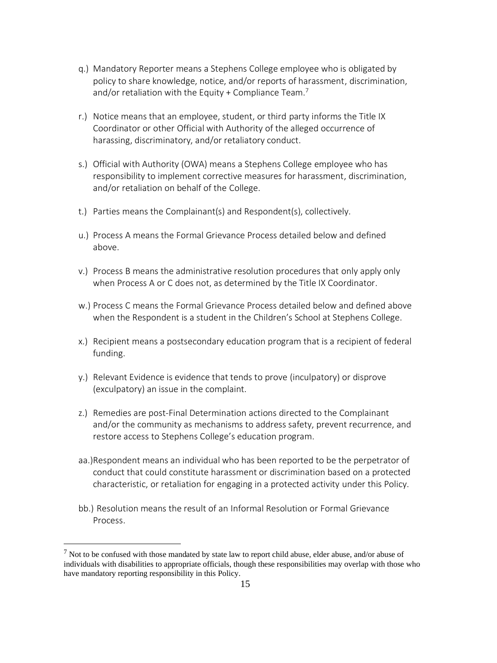- q.) Mandatory Reporter means a Stephens College employee who is obligated by policy to share knowledge, notice, and/or reports of harassment, discrimination, and/or retaliation with the Equity + Compliance Team.<sup>7</sup>
- r.) Notice means that an employee, student, or third party informs the Title IX Coordinator or other Official with Authority of the alleged occurrence of harassing, discriminatory, and/or retaliatory conduct.
- s.) Official with Authority (OWA) means a Stephens College employee who has responsibility to implement corrective measures for harassment, discrimination, and/or retaliation on behalf of the College.
- t.) Parties means the Complainant(s) and Respondent(s), collectively.
- u.) Process A means the Formal Grievance Process detailed below and defined above.
- v.) Process B means the administrative resolution procedures that only apply only when Process A or C does not, as determined by the Title IX Coordinator.
- w.) Process C means the Formal Grievance Process detailed below and defined above when the Respondent is a student in the Children's School at Stephens College.
- x.) Recipient means a postsecondary education program that is a recipient of federal funding.
- y.) Relevant Evidence is evidence that tends to prove (inculpatory) or disprove (exculpatory) an issue in the complaint.
- z.) Remedies are post-Final Determination actions directed to the Complainant and/or the community as mechanisms to address safety, prevent recurrence, and restore access to Stephens College's education program.
- aa.)Respondent means an individual who has been reported to be the perpetrator of conduct that could constitute harassment or discrimination based on a protected characteristic, or retaliation for engaging in a protected activity under this Policy.
- bb.) Resolution means the result of an Informal Resolution or Formal Grievance Process.

 $<sup>7</sup>$  Not to be confused with those mandated by state law to report child abuse, elder abuse, and/or abuse of</sup> individuals with disabilities to appropriate officials, though these responsibilities may overlap with those who have mandatory reporting responsibility in this Policy.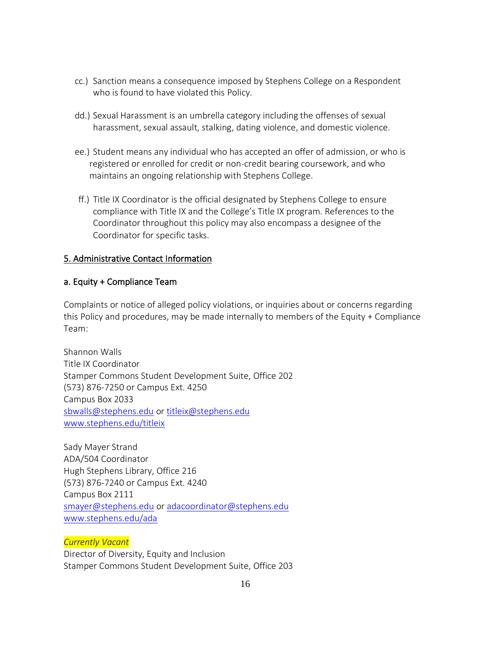- cc.) Sanction means a consequence imposed by Stephens College on a Respondent who is found to have violated this Policy.
- dd.) Sexual Harassment is an umbrella category including the offenses of sexual harassment, sexual assault, stalking, dating violence, and domestic violence.
- ee.) Student means any individual who has accepted an offer of admission, or who is registered or enrolled for credit or non-credit bearing coursework, and who maintains an ongoing relationship with Stephens College.
- ff.) Title IX Coordinator is the official designated by Stephens College to ensure compliance with Title IX and the College's Title IX program. References to the Coordinator throughout this policy may also encompass a designee of the Coordinator for specific tasks.

### 5. Administrative Contact Information

#### a. Equity + Compliance Team

Complaints or notice of alleged policy violations, or inquiries about or concerns regarding this Policy and procedures, may be made internally to members of the Equity + Compliance Team:

Shannon Walls Title IX Coordinator Stamper Commons Student Development Suite, Office 202 (573) 876-7250 or Campus Ext. 4250 Campus Box 2033 [sbwalls@stephens.edu](mailto:sbwalls@stephens.edu) or [titleix@stephens.edu](mailto:titleix@stephens.edu) [www.stephens.edu/titleix](http://www.stephens.edu/titleix)

Sady Mayer Strand ADA/504 Coordinator Hugh Stephens Library, Office 216 (573) 876-7240 or Campus Ext. 4240 Campus Box 2111 [smayer@stephens.edu](mailto:smayer@stephens.edu) or [adacoordinator@stephens.edu](mailto:adacoordinator@stephens.edu)  [www.stephens.edu/ada](http://www.stephens.edu/ada)

*Currently Vacant* Director of Diversity, Equity and Inclusion Stamper Commons Student Development Suite, Office 203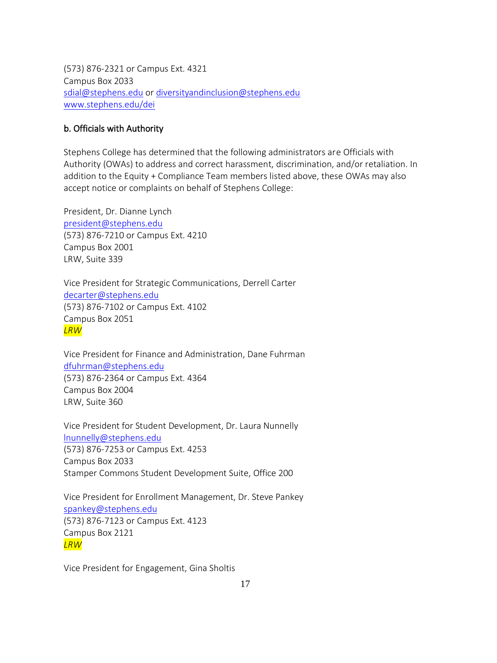(573) 876-2321 or Campus Ext. 4321 Campus Box 2033 [sdial@stephens.edu](mailto:sdial@stephens.edu) or [diversityandinclusion@stephens.edu](mailto:diversityandinclusion@stephens.edu) [www.stephens.edu/dei](http://www.stephens.edu/dei)

### b. Officials with Authority

Stephens College has determined that the following administrators are Officials with Authority (OWAs) to address and correct harassment, discrimination, and/or retaliation. In addition to the Equity + Compliance Team members listed above, these OWAs may also accept notice or complaints on behalf of Stephens College:

President, Dr. Dianne Lynch [president@stephens.edu](mailto:president@stephens.edu) (573) 876-7210 or Campus Ext. 4210 Campus Box 2001 LRW, Suite 339

Vice President for Strategic Communications, Derrell Carter [decarter@stephens.edu](mailto:decarter@stephens.edu) (573) 876-7102 or Campus Ext. 4102 Campus Box 2051 *LRW*

Vice President for Finance and Administration, Dane Fuhrman [dfuhrman@stephens.edu](mailto:dfuhrman@stephens.edu) (573) 876-2364 or Campus Ext. 4364 Campus Box 2004 LRW, Suite 360

Vice President for Student Development, Dr. Laura Nunnelly [lnunnelly@stephens.edu](mailto:lnunnelly@stephens.edu) (573) 876-7253 or Campus Ext. 4253 Campus Box 2033 Stamper Commons Student Development Suite, Office 200

Vice President for Enrollment Management, Dr. Steve Pankey [spankey@stephens.edu](mailto:spankey@stephens.edu) (573) 876-7123 or Campus Ext. 4123 Campus Box 2121 *LRW*

Vice President for Engagement, Gina Sholtis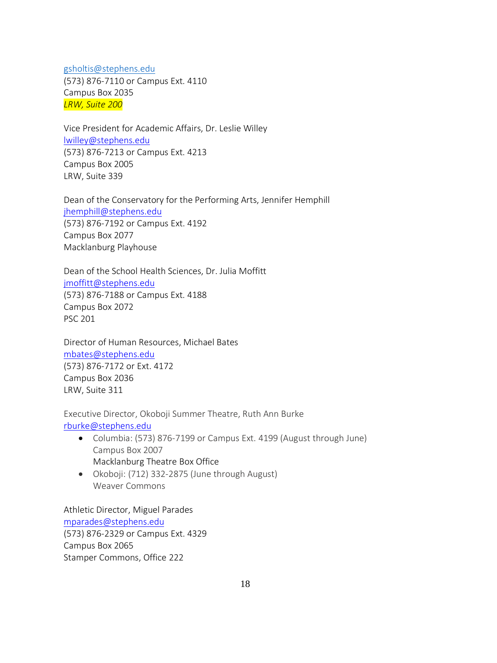[gsholtis@stephens.edu](mailto:gsholtis@stephens.edu) (573) 876-7110 or Campus Ext. 4110 Campus Box 2035 *LRW, Suite 200*

Vice President for Academic Affairs, Dr. Leslie Willey [lwilley@stephens.edu](mailto:lwilley@stephens.edu) (573) 876-7213 or Campus Ext. 4213 Campus Box 2005 LRW, Suite 339

Dean of the Conservatory for the Performing Arts, Jennifer Hemphill [jhemphill@stephens.edu](mailto:jhemphill@stephens.edu) (573) 876-7192 or Campus Ext. 4192 Campus Box 2077 Macklanburg Playhouse

Dean of the School Health Sciences, Dr. Julia Moffitt [jmoffitt@stephens.edu](mailto:jmoffitt@stephens.edu) (573) 876-7188 or Campus Ext. 4188 Campus Box 2072 PSC 201

Director of Human Resources, Michael Bates [mbates@stephens.edu](mailto:mbates@stephens.edu) (573) 876-7172 or Ext. 4172 Campus Box 2036 LRW, Suite 311

Executive Director, Okoboji Summer Theatre, Ruth Ann Burke [rburke@stephens.edu](mailto:rburke@stephens.edu)

- Columbia: (573) 876-7199 or Campus Ext. 4199 (August through June) Campus Box 2007 Macklanburg Theatre Box Office
- Okoboji: (712) 332-2875 (June through August) Weaver Commons

Athletic Director, Miguel Parades [mparades@stephens.edu](mailto:mparades@stephens.edu) (573) 876-2329 or Campus Ext. 4329 Campus Box 2065 Stamper Commons, Office 222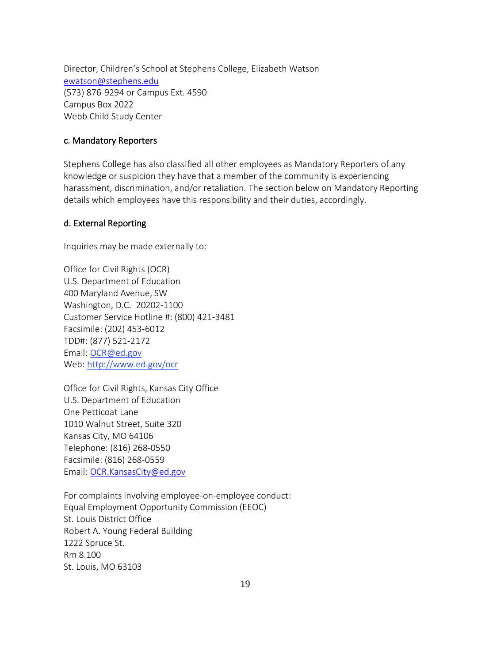Director, Children's School at Stephens College, Elizabeth Watson [ewatson@stephens.edu](mailto:ewatson@stephens.edu) (573) 876-9294 or Campus Ext. 4590 Campus Box 2022 Webb Child Study Center

#### c. Mandatory Reporters

Stephens College has also classified all other employees as Mandatory Reporters of any knowledge or suspicion they have that a member of the community is experiencing harassment, discrimination, and/or retaliation. The section below on Mandatory Reporting details which employees have this responsibility and their duties, accordingly.

### d. External Reporting

Inquiries may be made externally to:

Office for Civil Rights (OCR) U.S. Department of Education 400 Maryland Avenue, SW Washington, D.C. 20202-1100 Customer Service Hotline #: (800) 421-3481 Facsimile: (202) 453-6012 TDD#: (877) 521-2172 Email: [OCR@ed.gov](mailto:OCR@ed.gov) Web: [http://www.ed.gov/ocr](http://www2.ed.gov/about/offices/list/ocr/index.html)

Office for Civil Rights, Kansas City Office U.S. Department of Education One Petticoat Lane 1010 Walnut Street, Suite 320 Kansas City, MO 64106 Telephone: (816) 268-0550 Facsimile: (816) 268-0559 Email[: OCR.KansasCity@ed.gov](mailto:OCR.KansasCity@ed.gov)

For complaints involving employee-on-employee conduct: Equal Employment Opportunity Commission (EEOC) St. Louis District Office Robert A. Young Federal Building 1222 Spruce St. Rm 8.100 St. Louis, MO 63103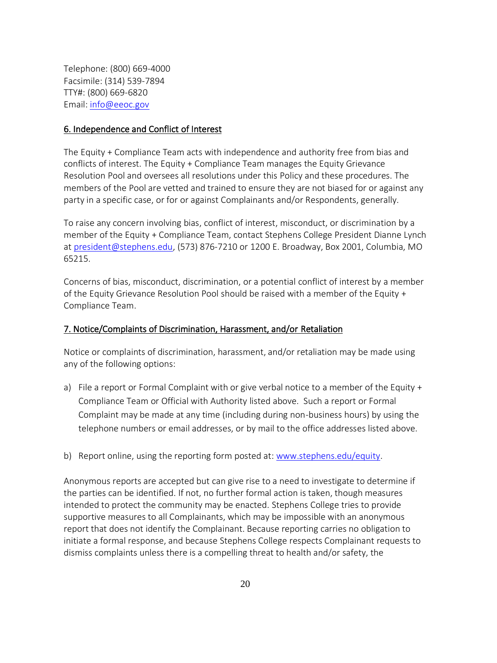Telephone: (800) 669-4000 Facsimile: (314) 539-7894 TTY#: (800) 669-6820 Email[: info@eeoc.gov](mailto:info@eeoc.gov)

#### 6. Independence and Conflict of Interest

The Equity + Compliance Team acts with independence and authority free from bias and conflicts of interest. The Equity + Compliance Team manages the Equity Grievance Resolution Pool and oversees all resolutions under this Policy and these procedures. The members of the Pool are vetted and trained to ensure they are not biased for or against any party in a specific case, or for or against Complainants and/or Respondents, generally.

To raise any concern involving bias, conflict of interest, misconduct, or discrimination by a member of the Equity + Compliance Team, contact Stephens College President Dianne Lynch a[t president@stephens.edu,](mailto:president@stephens.edu) (573) 876-7210 or 1200 E. Broadway, Box 2001, Columbia, MO 65215.

Concerns of bias, misconduct, discrimination, or a potential conflict of interest by a member of the Equity Grievance Resolution Pool should be raised with a member of the Equity + Compliance Team.

#### 7. Notice/Complaints of Discrimination, Harassment, and/or Retaliation

Notice or complaints of discrimination, harassment, and/or retaliation may be made using any of the following options:

- a) File a report or Formal Complaint with or give verbal notice to a member of the Equity + Compliance Team or Official with Authority listed above. Such a report or Formal Complaint may be made at any time (including during non-business hours) by using the telephone numbers or email addresses, or by mail to the office addresses listed above.
- b) Report online, using the reporting form posted at: [www.stephens.edu/equity.](http://www.stephens.edu/equity)

Anonymous reports are accepted but can give rise to a need to investigate to determine if the parties can be identified. If not, no further formal action is taken, though measures intended to protect the community may be enacted. Stephens College tries to provide supportive measures to all Complainants, which may be impossible with an anonymous report that does not identify the Complainant. Because reporting carries no obligation to initiate a formal response, and because Stephens College respects Complainant requests to dismiss complaints unless there is a compelling threat to health and/or safety, the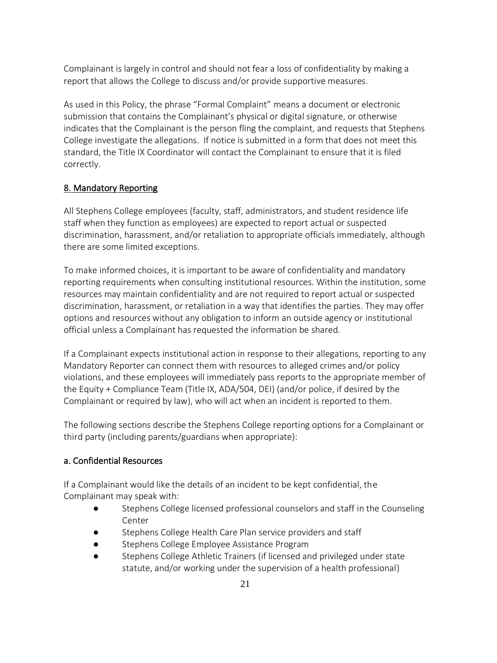Complainant is largely in control and should not fear a loss of confidentiality by making a report that allows the College to discuss and/or provide supportive measures.

As used in this Policy, the phrase "Formal Complaint" means a document or electronic submission that contains the Complainant's physical or digital signature, or otherwise indicates that the Complainant is the person fling the complaint, and requests that Stephens College investigate the allegations. If notice is submitted in a form that does not meet this standard, the Title IX Coordinator will contact the Complainant to ensure that it is filed correctly.

### 8. Mandatory Reporting

All Stephens College employees (faculty, staff, administrators, and student residence life staff when they function as employees) are expected to report actual or suspected discrimination, harassment, and/or retaliation to appropriate officials immediately, although there are some limited exceptions.

To make informed choices, it is important to be aware of confidentiality and mandatory reporting requirements when consulting institutional resources. Within the institution, some resources may maintain confidentiality and are not required to report actual or suspected discrimination, harassment, or retaliation in a way that identifies the parties. They may offer options and resources without any obligation to inform an outside agency or institutional official unless a Complainant has requested the information be shared.

If a Complainant expects institutional action in response to their allegations, reporting to any Mandatory Reporter can connect them with resources to alleged crimes and/or policy violations, and these employees will immediately pass reports to the appropriate member of the Equity + Compliance Team (Title IX, ADA/504, DEI) (and/or police, if desired by the Complainant or required by law), who will act when an incident is reported to them.

The following sections describe the Stephens College reporting options for a Complainant or third party (including parents/guardians when appropriate):

### a. Confidential Resources

If a Complainant would like the details of an incident to be kept confidential, the Complainant may speak with:

- Stephens College licensed professional counselors and staff in the Counseling Center
- Stephens College Health Care Plan service providers and staff
- Stephens College Employee Assistance Program
- Stephens College Athletic Trainers (if licensed and privileged under state statute, and/or working under the supervision of a health professional)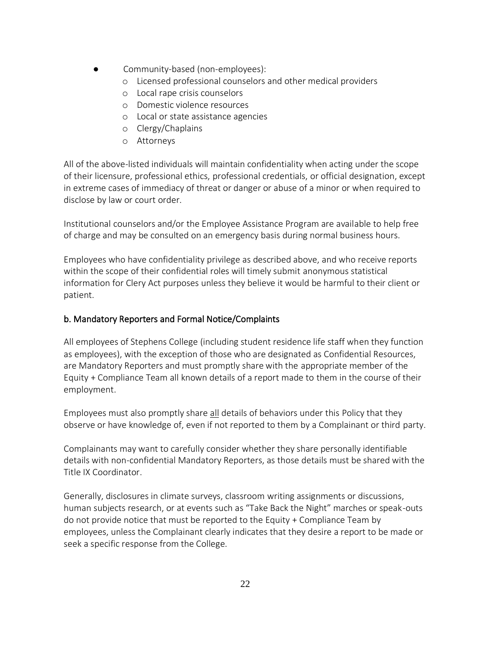- Community-based (non-employees):
	- o Licensed professional counselors and other medical providers
	- o Local rape crisis counselors
	- o Domestic violence resources
	- o Local or state assistance agencies
	- o Clergy/Chaplains
	- o Attorneys

All of the above-listed individuals will maintain confidentiality when acting under the scope of their licensure, professional ethics, professional credentials, or official designation, except in extreme cases of immediacy of threat or danger or abuse of a minor or when required to disclose by law or court order.

Institutional counselors and/or the Employee Assistance Program are available to help free of charge and may be consulted on an emergency basis during normal business hours.

Employees who have confidentiality privilege as described above, and who receive reports within the scope of their confidential roles will timely submit anonymous statistical information for Clery Act purposes unless they believe it would be harmful to their client or patient.

## b. Mandatory Reporters and Formal Notice/Complaints

All employees of Stephens College (including student residence life staff when they function as employees), with the exception of those who are designated as Confidential Resources, are Mandatory Reporters and must promptly share with the appropriate member of the Equity + Compliance Team all known details of a report made to them in the course of their employment.

Employees must also promptly share all details of behaviors under this Policy that they observe or have knowledge of, even if not reported to them by a Complainant or third party.

Complainants may want to carefully consider whether they share personally identifiable details with non-confidential Mandatory Reporters, as those details must be shared with the Title IX Coordinator.

Generally, disclosures in climate surveys, classroom writing assignments or discussions, human subjects research, or at events such as "Take Back the Night" marches or speak-outs do not provide notice that must be reported to the Equity + Compliance Team by employees, unless the Complainant clearly indicates that they desire a report to be made or seek a specific response from the College.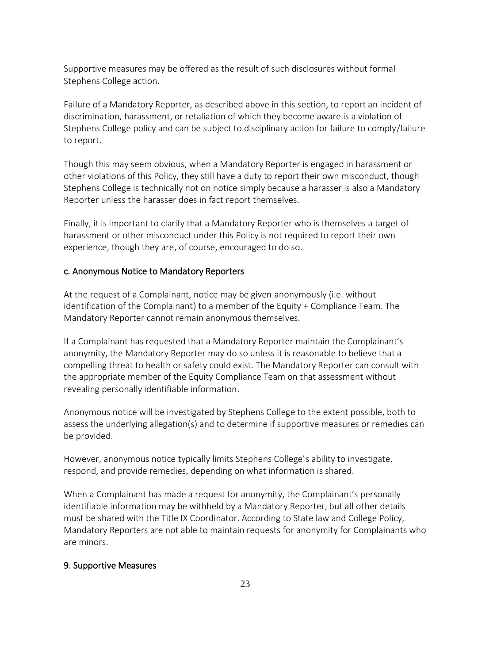Supportive measures may be offered as the result of such disclosures without formal Stephens College action.

Failure of a Mandatory Reporter, as described above in this section, to report an incident of discrimination, harassment, or retaliation of which they become aware is a violation of Stephens College policy and can be subject to disciplinary action for failure to comply/failure to report.

Though this may seem obvious, when a Mandatory Reporter is engaged in harassment or other violations of this Policy, they still have a duty to report their own misconduct, though Stephens College is technically not on notice simply because a harasser is also a Mandatory Reporter unless the harasser does in fact report themselves.

Finally, it is important to clarify that a Mandatory Reporter who is themselves a target of harassment or other misconduct under this Policy is not required to report their own experience, though they are, of course, encouraged to do so.

#### c. Anonymous Notice to Mandatory Reporters

At the request of a Complainant, notice may be given anonymously (i.e. without identification of the Complainant) to a member of the Equity + Compliance Team. The Mandatory Reporter cannot remain anonymous themselves.

If a Complainant has requested that a Mandatory Reporter maintain the Complainant's anonymity, the Mandatory Reporter may do so unless it is reasonable to believe that a compelling threat to health or safety could exist. The Mandatory Reporter can consult with the appropriate member of the Equity Compliance Team on that assessment without revealing personally identifiable information.

Anonymous notice will be investigated by Stephens College to the extent possible, both to assess the underlying allegation(s) and to determine if supportive measures or remedies can be provided.

However, anonymous notice typically limits Stephens College's ability to investigate, respond, and provide remedies, depending on what information is shared.

When a Complainant has made a request for anonymity, the Complainant's personally identifiable information may be withheld by a Mandatory Reporter, but all other details must be shared with the Title IX Coordinator. According to State law and College Policy, Mandatory Reporters are not able to maintain requests for anonymity for Complainants who are minors.

#### 9. Supportive Measures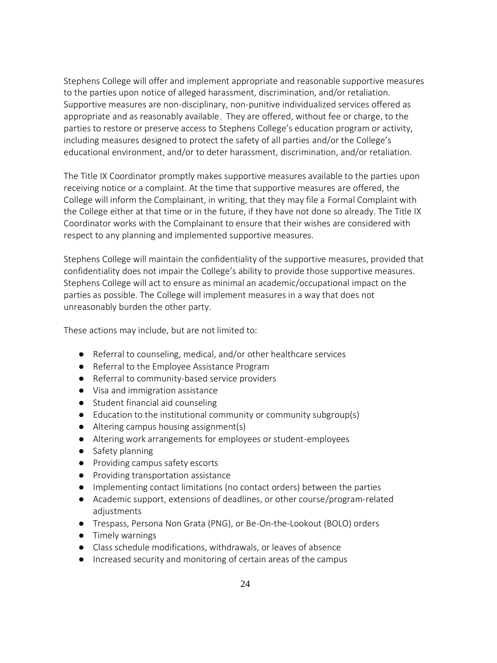Stephens College will offer and implement appropriate and reasonable supportive measures to the parties upon notice of alleged harassment, discrimination, and/or retaliation. Supportive measures are non-disciplinary, non-punitive individualized services offered as appropriate and as reasonably available. They are offered, without fee or charge, to the parties to restore or preserve access to Stephens College's education program or activity, including measures designed to protect the safety of all parties and/or the College's educational environment, and/or to deter harassment, discrimination, and/or retaliation.

The Title IX Coordinator promptly makes supportive measures available to the parties upon receiving notice or a complaint. At the time that supportive measures are offered, the College will inform the Complainant, in writing, that they may file a Formal Complaint with the College either at that time or in the future, if they have not done so already. The Title IX Coordinator works with the Complainant to ensure that their wishes are considered with respect to any planning and implemented supportive measures.

Stephens College will maintain the confidentiality of the supportive measures, provided that confidentiality does not impair the College's ability to provide those supportive measures. Stephens College will act to ensure as minimal an academic/occupational impact on the parties as possible. The College will implement measures in a way that does not unreasonably burden the other party.

These actions may include, but are not limited to:

- Referral to counseling, medical, and/or other healthcare services
- Referral to the Employee Assistance Program
- Referral to community-based service providers
- Visa and immigration assistance
- Student financial aid counseling
- Education to the institutional community or community subgroup(s)
- Altering campus housing assignment(s)
- Altering work arrangements for employees or student-employees
- Safety planning
- Providing campus safety escorts
- Providing transportation assistance
- Implementing contact limitations (no contact orders) between the parties
- Academic support, extensions of deadlines, or other course/program-related adjustments
- Trespass, Persona Non Grata (PNG), or Be-On-the-Lookout (BOLO) orders
- Timely warnings
- Class schedule modifications, withdrawals, or leaves of absence
- Increased security and monitoring of certain areas of the campus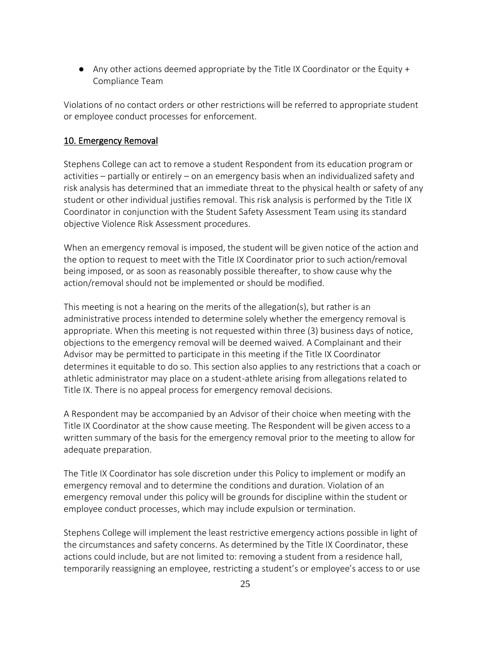$\bullet$  Any other actions deemed appropriate by the Title IX Coordinator or the Equity + Compliance Team

Violations of no contact orders or other restrictions will be referred to appropriate student or employee conduct processes for enforcement.

### 10. Emergency Removal

Stephens College can act to remove a student Respondent from its education program or activities – partially or entirely – on an emergency basis when an individualized safety and risk analysis has determined that an immediate threat to the physical health or safety of any student or other individual justifies removal. This risk analysis is performed by the Title IX Coordinator in conjunction with the Student Safety Assessment Team using its standard objective Violence Risk Assessment procedures.

When an emergency removal is imposed, the student will be given notice of the action and the option to request to meet with the Title IX Coordinator prior to such action/removal being imposed, or as soon as reasonably possible thereafter, to show cause why the action/removal should not be implemented or should be modified.

This meeting is not a hearing on the merits of the allegation(s), but rather is an administrative process intended to determine solely whether the emergency removal is appropriate. When this meeting is not requested within three (3) business days of notice, objections to the emergency removal will be deemed waived. A Complainant and their Advisor may be permitted to participate in this meeting if the Title IX Coordinator determines it equitable to do so. This section also applies to any restrictions that a coach or athletic administrator may place on a student-athlete arising from allegations related to Title IX. There is no appeal process for emergency removal decisions.

A Respondent may be accompanied by an Advisor of their choice when meeting with the Title IX Coordinator at the show cause meeting. The Respondent will be given access to a written summary of the basis for the emergency removal prior to the meeting to allow for adequate preparation.

The Title IX Coordinator has sole discretion under this Policy to implement or modify an emergency removal and to determine the conditions and duration. Violation of an emergency removal under this policy will be grounds for discipline within the student or employee conduct processes, which may include expulsion or termination.

Stephens College will implement the least restrictive emergency actions possible in light of the circumstances and safety concerns. As determined by the Title IX Coordinator, these actions could include, but are not limited to: removing a student from a residence hall, temporarily reassigning an employee, restricting a student's or employee's access to or use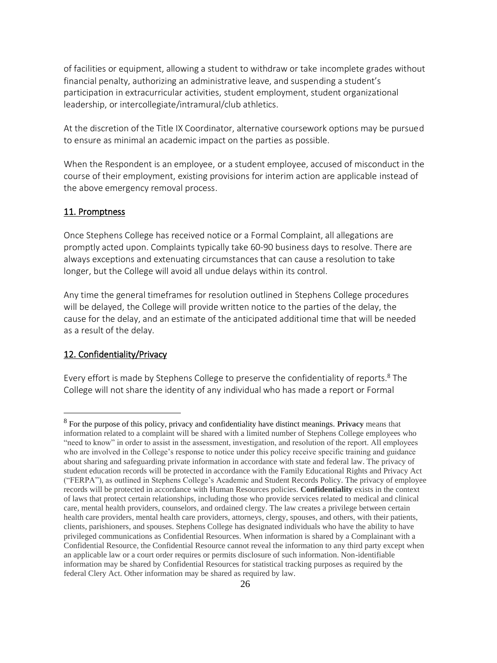of facilities or equipment, allowing a student to withdraw or take incomplete grades without financial penalty, authorizing an administrative leave, and suspending a student's participation in extracurricular activities, student employment, student organizational leadership, or intercollegiate/intramural/club athletics.

At the discretion of the Title IX Coordinator, alternative coursework options may be pursued to ensure as minimal an academic impact on the parties as possible.

When the Respondent is an employee, or a student employee, accused of misconduct in the course of their employment, existing provisions for interim action are applicable instead of the above emergency removal process.

#### 11. Promptness

Once Stephens College has received notice or a Formal Complaint, all allegations are promptly acted upon. Complaints typically take 60-90 business days to resolve. There are always exceptions and extenuating circumstances that can cause a resolution to take longer, but the College will avoid all undue delays within its control.

Any time the general timeframes for resolution outlined in Stephens College procedures will be delayed, the College will provide written notice to the parties of the delay, the cause for the delay, and an estimate of the anticipated additional time that will be needed as a result of the delay.

### 12. Confidentiality/Privacy

Every effort is made by Stephens College to preserve the confidentiality of reports.<sup>8</sup> The College will not share the identity of any individual who has made a report or Formal

<sup>8</sup> For the purpose of this policy, privacy and confidentiality have distinct meanings. **Privacy** means that information related to a complaint will be shared with a limited number of Stephens College employees who "need to know" in order to assist in the assessment, investigation, and resolution of the report. All employees who are involved in the College's response to notice under this policy receive specific training and guidance about sharing and safeguarding private information in accordance with state and federal law. The privacy of student education records will be protected in accordance with the Family Educational Rights and Privacy Act ("FERPA"), as outlined in Stephens College's Academic and Student Records Policy. The privacy of employee records will be protected in accordance with Human Resources policies. **Confidentiality** exists in the context of laws that protect certain relationships, including those who provide services related to medical and clinical care, mental health providers, counselors, and ordained clergy. The law creates a privilege between certain health care providers, mental health care providers, attorneys, clergy, spouses, and others, with their patients, clients, parishioners, and spouses. Stephens College has designated individuals who have the ability to have privileged communications as Confidential Resources. When information is shared by a Complainant with a Confidential Resource, the Confidential Resource cannot reveal the information to any third party except when an applicable law or a court order requires or permits disclosure of such information. Non-identifiable information may be shared by Confidential Resources for statistical tracking purposes as required by the federal Clery Act. Other information may be shared as required by law.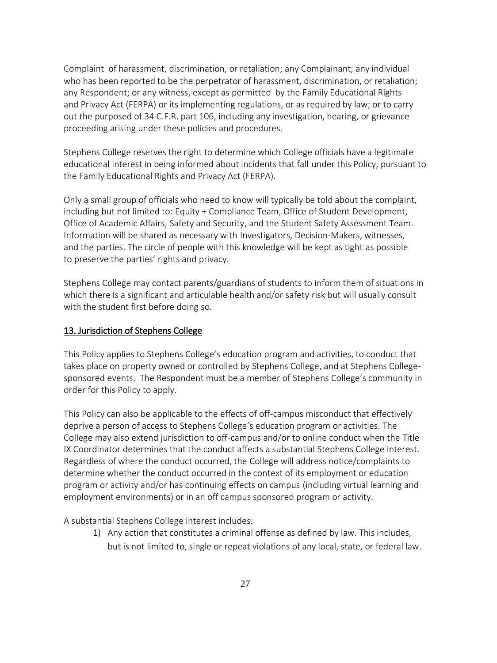Complaint of harassment, discrimination, or retaliation; any Complainant; any individual who has been reported to be the perpetrator of harassment, discrimination, or retaliation; any Respondent; or any witness, except as permitted by the Family Educational Rights and Privacy Act (FERPA) or its implementing regulations, or as required by law; or to carry out the purposed of 34 C.F.R. part 106, including any investigation, hearing, or grievance proceeding arising under these policies and procedures.

Stephens College reserves the right to determine which College officials have a legitimate educational interest in being informed about incidents that fall under this Policy, pursuant to the Family Educational Rights and Privacy Act (FERPA).

Only a small group of officials who need to know will typically be told about the complaint, including but not limited to: Equity + Compliance Team, Office of Student Development, Office of Academic Affairs, Safety and Security, and the Student Safety Assessment Team. Information will be shared as necessary with Investigators, Decision-Makers, witnesses, and the parties. The circle of people with this knowledge will be kept as tight as possible to preserve the parties' rights and privacy.

Stephens College may contact parents/guardians of students to inform them of situations in which there is a significant and articulable health and/or safety risk but will usually consult with the student first before doing so.

### 13. Jurisdiction of Stephens College

This Policy applies to Stephens College's education program and activities, to conduct that takes place on property owned or controlled by Stephens College, and at Stephens Collegesponsored events. The Respondent must be a member of Stephens College's community in order for this Policy to apply.

This Policy can also be applicable to the effects of off-campus misconduct that effectively deprive a person of access to Stephens College's education program or activities. The College may also extend jurisdiction to off-campus and/or to online conduct when the Title IX Coordinator determines that the conduct affects a substantial Stephens College interest. Regardless of where the conduct occurred, the College will address notice/complaints to determine whether the conduct occurred in the context of its employment or education program or activity and/or has continuing effects on campus (including virtual learning and employment environments) or in an off campus sponsored program or activity.

A substantial Stephens College interest includes:

1) Any action that constitutes a criminal offense as defined by law. This includes, but is not limited to, single or repeat violations of any local, state, or federal law.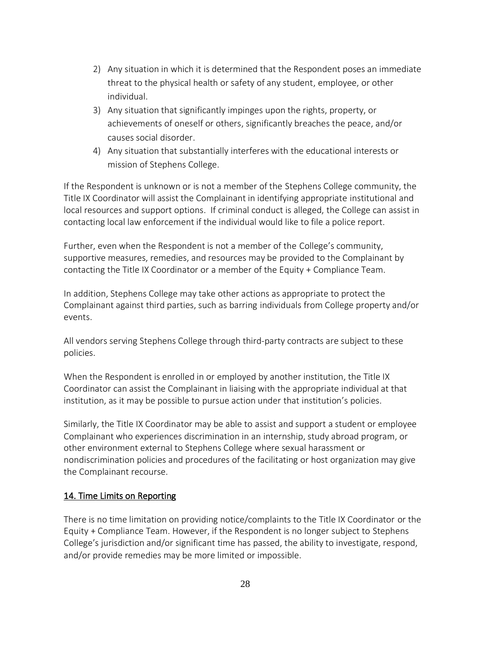- 2) Any situation in which it is determined that the Respondent poses an immediate threat to the physical health or safety of any student, employee, or other individual.
- 3) Any situation that significantly impinges upon the rights, property, or achievements of oneself or others, significantly breaches the peace, and/or causes social disorder.
- 4) Any situation that substantially interferes with the educational interests or mission of Stephens College.

If the Respondent is unknown or is not a member of the Stephens College community, the Title IX Coordinator will assist the Complainant in identifying appropriate institutional and local resources and support options. If criminal conduct is alleged, the College can assist in contacting local law enforcement if the individual would like to file a police report.

Further, even when the Respondent is not a member of the College's community, supportive measures, remedies, and resources may be provided to the Complainant by contacting the Title IX Coordinator or a member of the Equity + Compliance Team.

In addition, Stephens College may take other actions as appropriate to protect the Complainant against third parties, such as barring individuals from College property and/or events.

All vendors serving Stephens College through third-party contracts are subject to these policies.

When the Respondent is enrolled in or employed by another institution, the Title IX Coordinator can assist the Complainant in liaising with the appropriate individual at that institution, as it may be possible to pursue action under that institution's policies.

Similarly, the Title IX Coordinator may be able to assist and support a student or employee Complainant who experiences discrimination in an internship, study abroad program, or other environment external to Stephens College where sexual harassment or nondiscrimination policies and procedures of the facilitating or host organization may give the Complainant recourse.

# 14. Time Limits on Reporting

There is no time limitation on providing notice/complaints to the Title IX Coordinator or the Equity + Compliance Team. However, if the Respondent is no longer subject to Stephens College's jurisdiction and/or significant time has passed, the ability to investigate, respond, and/or provide remedies may be more limited or impossible.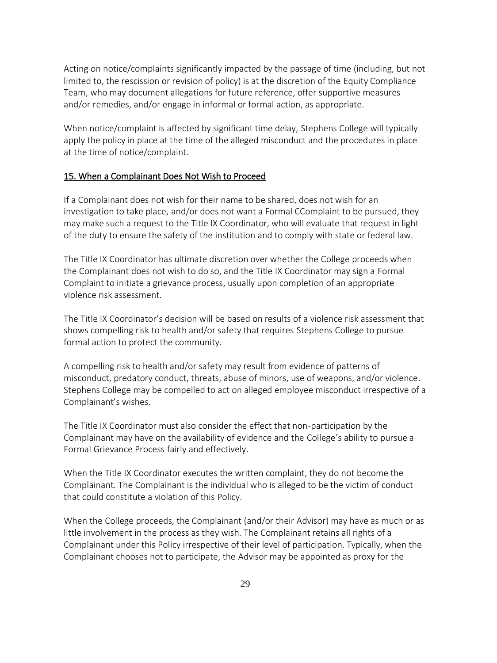Acting on notice/complaints significantly impacted by the passage of time (including, but not limited to, the rescission or revision of policy) is at the discretion of the Equity Compliance Team, who may document allegations for future reference, offer supportive measures and/or remedies, and/or engage in informal or formal action, as appropriate.

When notice/complaint is affected by significant time delay, Stephens College will typically apply the policy in place at the time of the alleged misconduct and the procedures in place at the time of notice/complaint.

#### 15. When a Complainant Does Not Wish to Proceed

If a Complainant does not wish for their name to be shared, does not wish for an investigation to take place, and/or does not want a Formal CComplaint to be pursued, they may make such a request to the Title IX Coordinator, who will evaluate that request in light of the duty to ensure the safety of the institution and to comply with state or federal law.

The Title IX Coordinator has ultimate discretion over whether the College proceeds when the Complainant does not wish to do so, and the Title IX Coordinator may sign a Formal Complaint to initiate a grievance process, usually upon completion of an appropriate violence risk assessment.

The Title IX Coordinator's decision will be based on results of a violence risk assessment that shows compelling risk to health and/or safety that requires Stephens College to pursue formal action to protect the community.

A compelling risk to health and/or safety may result from evidence of patterns of misconduct, predatory conduct, threats, abuse of minors, use of weapons, and/or violence. Stephens College may be compelled to act on alleged employee misconduct irrespective of a Complainant's wishes.

The Title IX Coordinator must also consider the effect that non-participation by the Complainant may have on the availability of evidence and the College's ability to pursue a Formal Grievance Process fairly and effectively.

When the Title IX Coordinator executes the written complaint, they do not become the Complainant. The Complainant is the individual who is alleged to be the victim of conduct that could constitute a violation of this Policy.

When the College proceeds, the Complainant (and/or their Advisor) may have as much or as little involvement in the process as they wish. The Complainant retains all rights of a Complainant under this Policy irrespective of their level of participation. Typically, when the Complainant chooses not to participate, the Advisor may be appointed as proxy for the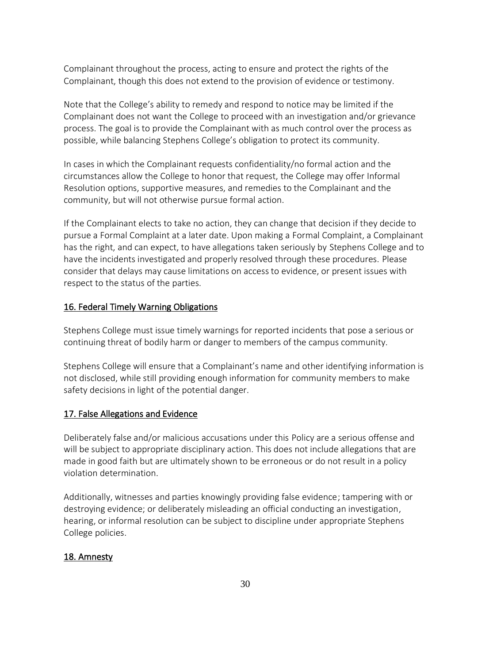Complainant throughout the process, acting to ensure and protect the rights of the Complainant, though this does not extend to the provision of evidence or testimony.

Note that the College's ability to remedy and respond to notice may be limited if the Complainant does not want the College to proceed with an investigation and/or grievance process. The goal is to provide the Complainant with as much control over the process as possible, while balancing Stephens College's obligation to protect its community.

In cases in which the Complainant requests confidentiality/no formal action and the circumstances allow the College to honor that request, the College may offer Informal Resolution options, supportive measures, and remedies to the Complainant and the community, but will not otherwise pursue formal action.

If the Complainant elects to take no action, they can change that decision if they decide to pursue a Formal Complaint at a later date. Upon making a Formal Complaint, a Complainant has the right, and can expect, to have allegations taken seriously by Stephens College and to have the incidents investigated and properly resolved through these procedures. Please consider that delays may cause limitations on access to evidence, or present issues with respect to the status of the parties.

### 16. Federal Timely Warning Obligations

Stephens College must issue timely warnings for reported incidents that pose a serious or continuing threat of bodily harm or danger to members of the campus community.

Stephens College will ensure that a Complainant's name and other identifying information is not disclosed, while still providing enough information for community members to make safety decisions in light of the potential danger.

### 17. False Allegations and Evidence

Deliberately false and/or malicious accusations under this Policy are a serious offense and will be subject to appropriate disciplinary action. This does not include allegations that are made in good faith but are ultimately shown to be erroneous or do not result in a policy violation determination.

Additionally, witnesses and parties knowingly providing false evidence; tampering with or destroying evidence; or deliberately misleading an official conducting an investigation, hearing, or informal resolution can be subject to discipline under appropriate Stephens College policies.

### 18. Amnesty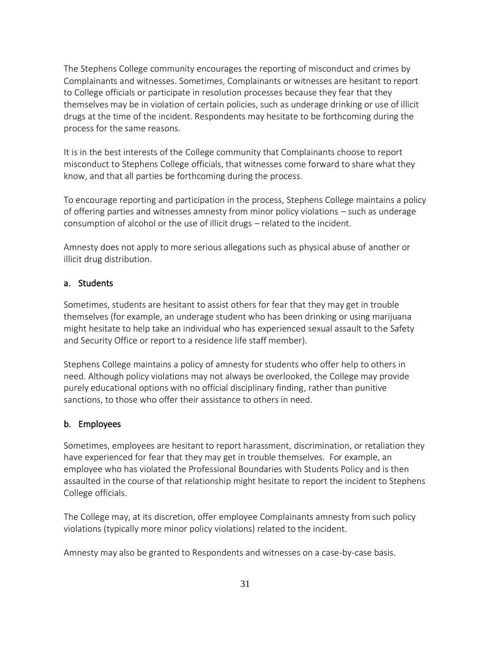The Stephens College community encourages the reporting of misconduct and crimes by Complainants and witnesses. Sometimes, Complainants or witnesses are hesitant to report to College officials or participate in resolution processes because they fear that they themselves may be in violation of certain policies, such as underage drinking or use of illicit drugs at the time of the incident. Respondents may hesitate to be forthcoming during the process for the same reasons.

It is in the best interests of the College community that Complainants choose to report misconduct to Stephens College officials, that witnesses come forward to share what they know, and that all parties be forthcoming during the process.

To encourage reporting and participation in the process, Stephens College maintains a policy of offering parties and witnesses amnesty from minor policy violations – such as underage consumption of alcohol or the use of illicit drugs – related to the incident.

Amnesty does not apply to more serious allegations such as physical abuse of another or illicit drug distribution.

## a. Students

Sometimes, students are hesitant to assist others for fear that they may get in trouble themselves (for example, an underage student who has been drinking or using marijuana might hesitate to help take an individual who has experienced sexual assault to the Safety and Security Office or report to a residence life staff member).

Stephens College maintains a policy of amnesty for students who offer help to others in need. Although policy violations may not always be overlooked, the College may provide purely educational options with no official disciplinary finding, rather than punitive sanctions, to those who offer their assistance to others in need.

### b. Employees

Sometimes, employees are hesitant to report harassment, discrimination, or retaliation they have experienced for fear that they may get in trouble themselves. For example, an employee who has violated the Professional Boundaries with Students Policy and is then assaulted in the course of that relationship might hesitate to report the incident to Stephens College officials.

The College may, at its discretion, offer employee Complainants amnesty from such policy violations (typically more minor policy violations) related to the incident.

Amnesty may also be granted to Respondents and witnesses on a case-by-case basis.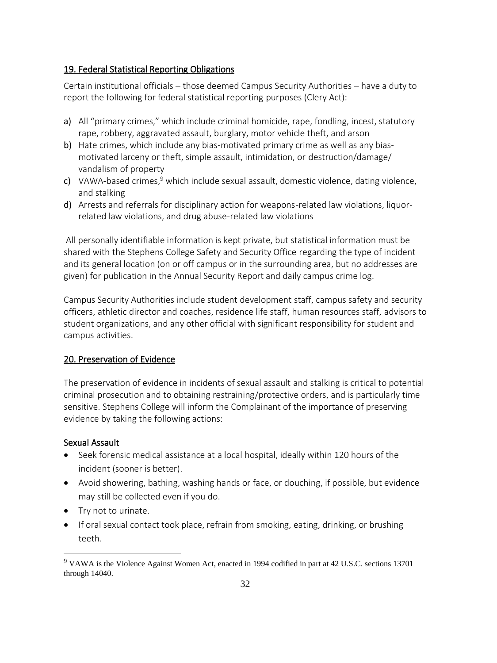### 19. Federal Statistical Reporting Obligations

Certain institutional officials – those deemed Campus Security Authorities – have a duty to report the following for federal statistical reporting purposes (Clery Act):

- a) All "primary crimes," which include criminal homicide, rape, fondling, incest, statutory rape, robbery, aggravated assault, burglary, motor vehicle theft, and arson
- b) Hate crimes, which include any bias-motivated primary crime as well as any biasmotivated larceny or theft, simple assault, intimidation, or destruction/damage/ vandalism of property
- c) VAWA-based crimes, $9$  which include sexual assault, domestic violence, dating violence, and stalking
- d) Arrests and referrals for disciplinary action for weapons-related law violations, liquorrelated law violations, and drug abuse-related law violations

All personally identifiable information is kept private, but statistical information must be shared with the Stephens College Safety and Security Office regarding the type of incident and its general location (on or off campus or in the surrounding area, but no addresses are given) for publication in the Annual Security Report and daily campus crime log.

Campus Security Authorities include student development staff, campus safety and security officers, athletic director and coaches, residence life staff, human resources staff, advisors to student organizations, and any other official with significant responsibility for student and campus activities.

### 20. Preservation of Evidence

The preservation of evidence in incidents of sexual assault and stalking is critical to potential criminal prosecution and to obtaining restraining/protective orders, and is particularly time sensitive. Stephens College will inform the Complainant of the importance of preserving evidence by taking the following actions:

#### Sexual Assault

- Seek forensic medical assistance at a local hospital, ideally within 120 hours of the incident (sooner is better).
- Avoid showering, bathing, washing hands or face, or douching, if possible, but evidence may still be collected even if you do.
- Try not to urinate.
- If oral sexual contact took place, refrain from smoking, eating, drinking, or brushing teeth.

<sup>9</sup> VAWA is the Violence Against Women Act, enacted in 1994 codified in part at 42 U.S.C. sections 13701 through 14040.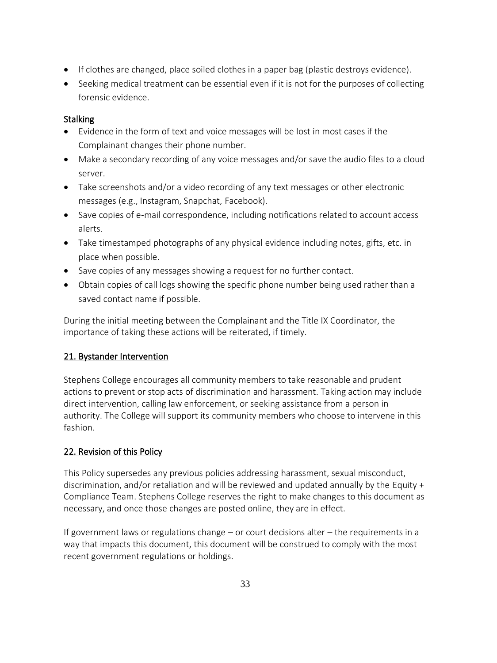- If clothes are changed, place soiled clothes in a paper bag (plastic destroys evidence).
- Seeking medical treatment can be essential even if it is not for the purposes of collecting forensic evidence.

# **Stalking**

- Evidence in the form of text and voice messages will be lost in most cases if the Complainant changes their phone number.
- Make a secondary recording of any voice messages and/or save the audio files to a cloud server.
- Take screenshots and/or a video recording of any text messages or other electronic messages (e.g., Instagram, Snapchat, Facebook).
- Save copies of e-mail correspondence, including notifications related to account access alerts.
- Take timestamped photographs of any physical evidence including notes, gifts, etc. in place when possible.
- Save copies of any messages showing a request for no further contact.
- Obtain copies of call logs showing the specific phone number being used rather than a saved contact name if possible.

During the initial meeting between the Complainant and the Title IX Coordinator, the importance of taking these actions will be reiterated, if timely.

# 21. Bystander Intervention

Stephens College encourages all community members to take reasonable and prudent actions to prevent or stop acts of discrimination and harassment. Taking action may include direct intervention, calling law enforcement, or seeking assistance from a person in authority. The College will support its community members who choose to intervene in this fashion.

# 22. Revision of this Policy

This Policy supersedes any previous policies addressing harassment, sexual misconduct, discrimination, and/or retaliation and will be reviewed and updated annually by the Equity + Compliance Team. Stephens College reserves the right to make changes to this document as necessary, and once those changes are posted online, they are in effect.

If government laws or regulations change – or court decisions alter – the requirements in a way that impacts this document, this document will be construed to comply with the most recent government regulations or holdings.